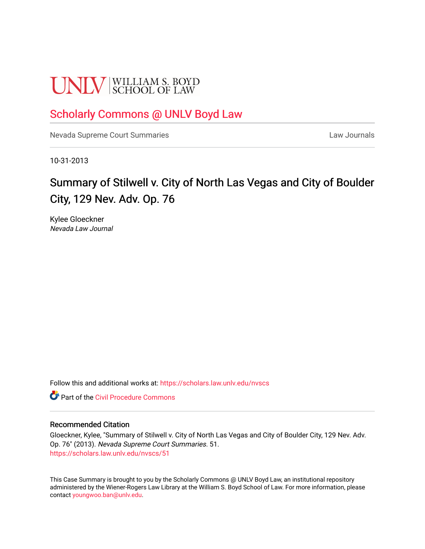# **UNLV** SCHOOL OF LAW

### [Scholarly Commons @ UNLV Boyd Law](https://scholars.law.unlv.edu/)

[Nevada Supreme Court Summaries](https://scholars.law.unlv.edu/nvscs) **Law Journals** Law Journals

10-31-2013

## Summary of Stilwell v. City of North Las Vegas and City of Boulder City, 129 Nev. Adv. Op. 76

Kylee Gloeckner Nevada Law Journal

Follow this and additional works at: [https://scholars.law.unlv.edu/nvscs](https://scholars.law.unlv.edu/nvscs?utm_source=scholars.law.unlv.edu%2Fnvscs%2F51&utm_medium=PDF&utm_campaign=PDFCoverPages)

**C** Part of the Civil Procedure Commons

#### Recommended Citation

Gloeckner, Kylee, "Summary of Stilwell v. City of North Las Vegas and City of Boulder City, 129 Nev. Adv. Op. 76" (2013). Nevada Supreme Court Summaries. 51. [https://scholars.law.unlv.edu/nvscs/51](https://scholars.law.unlv.edu/nvscs/51?utm_source=scholars.law.unlv.edu%2Fnvscs%2F51&utm_medium=PDF&utm_campaign=PDFCoverPages) 

This Case Summary is brought to you by the Scholarly Commons @ UNLV Boyd Law, an institutional repository administered by the Wiener-Rogers Law Library at the William S. Boyd School of Law. For more information, please contact [youngwoo.ban@unlv.edu](mailto:youngwoo.ban@unlv.edu).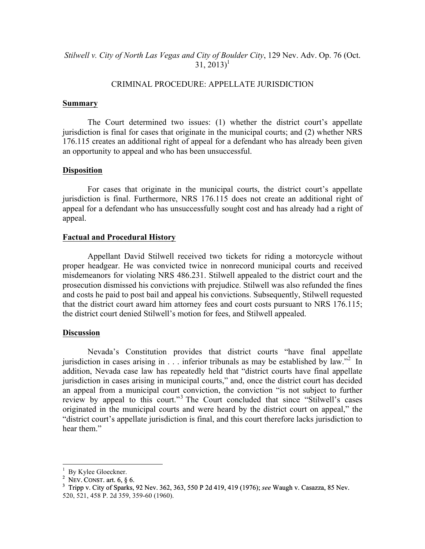#### *Stilwell v. City of North Las Vegas and City of Boulder City*, 129 Nev. Adv. Op. 76 (Oct.  $31, 2013$ <sup>1</sup>

#### CRIMINAL PROCEDURE: APPELLATE JURISDICTION

#### **Summary**

The Court determined two issues: (1) whether the district court's appellate jurisdiction is final for cases that originate in the municipal courts; and (2) whether NRS 176.115 creates an additional right of appeal for a defendant who has already been given an opportunity to appeal and who has been unsuccessful.

#### **Disposition**

For cases that originate in the municipal courts, the district court's appellate jurisdiction is final. Furthermore, NRS 176.115 does not create an additional right of appeal for a defendant who has unsuccessfully sought cost and has already had a right of appeal.

#### **Factual and Procedural History**

Appellant David Stilwell received two tickets for riding a motorcycle without proper headgear. He was convicted twice in nonrecord municipal courts and received misdemeanors for violating NRS 486.231. Stilwell appealed to the district court and the prosecution dismissed his convictions with prejudice. Stilwell was also refunded the fines and costs he paid to post bail and appeal his convictions. Subsequently, Stilwell requested that the district court award him attorney fees and court costs pursuant to NRS 176.115; the district court denied Stilwell's motion for fees, and Stilwell appealed.

#### **Discussion**

Nevada's Constitution provides that district courts "have final appellate jurisdiction in cases arising in  $\ldots$  inferior tribunals as may be established by law."<sup>2</sup> In addition, Nevada case law has repeatedly held that "district courts have final appellate jurisdiction in cases arising in municipal courts," and, once the district court has decided an appeal from a municipal court conviction, the conviction "is not subject to further review by appeal to this court."<sup>3</sup> The Court concluded that since "Stilwell's cases" originated in the municipal courts and were heard by the district court on appeal," the "district court's appellate jurisdiction is final, and this court therefore lacks jurisdiction to hear them<sup>"</sup>

 $1$  By Kylee Gloeckner.  $\frac{1}{2}$  By Kylee Gloeckner.

<sup>&</sup>lt;sup>2</sup> NEV. CONST. art. 6,  $\S$  6.<br><sup>3</sup> Tripp v. City of Specks.

Tripp v. City of Sparks, 92 Nev. 362, 363, 550 P 2d 419, 419 (1976); *see* Waugh v. Casazza, 85 Nev. 520, 521, 458 P. 2d 359, 359-60 (1960).